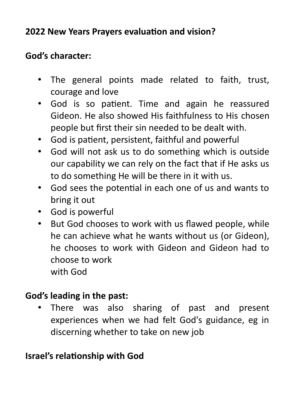# **2022 New Years Prayers evaluation and vision?**

# **God's character:**

- The general points made related to faith, trust, courage and love
- God is so patient. Time and again he reassured Gideon. He also showed His faithfulness to His chosen people but first their sin needed to be dealt with.
- God is patient, persistent, faithful and powerful
- God will not ask us to do something which is outside our capability we can rely on the fact that if He asks us to do something He will be there in it with us.
- God sees the potential in each one of us and wants to bring it out
- God is powerful
- But God chooses to work with us flawed people, while he can achieve what he wants without us (or Gideon), he chooses to work with Gideon and Gideon had to choose to work with God

### **God's leading in the past:**

• There was also sharing of past and present experiences when we had felt God's guidance, eg in discerning whether to take on new job

### **Israel's relationship with God**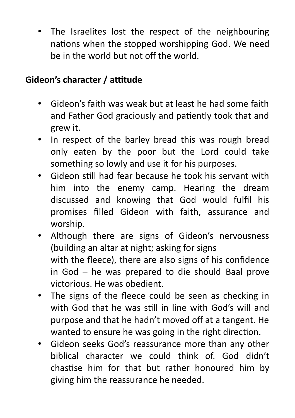The Israelites lost the respect of the neighbouring nations when the stopped worshipping God. We need be in the world but not off the world.

### **Gideon's character / attitude**

- Gideon's faith was weak but at least he had some faith and Father God graciously and patiently took that and grew it.
- In respect of the barley bread this was rough bread only eaten by the poor but the Lord could take something so lowly and use it for his purposes.
- Gideon still had fear because he took his servant with him into the enemy camp. Hearing the dream discussed and knowing that God would fulfil his promises filled Gideon with faith, assurance and worship.
- Although there are signs of Gideon's nervousness (building an altar at night; asking for signs with the fleece), there are also signs of his confidence in God – he was prepared to die should Baal prove victorious. He was obedient.
- The signs of the fleece could be seen as checking in with God that he was still in line with God's will and purpose and that he hadn't moved off at a tangent. He wanted to ensure he was going in the right direction.
- Gideon seeks God's reassurance more than any other biblical character we could think of. God didn't chastise him for that but rather honoured him by giving him the reassurance he needed.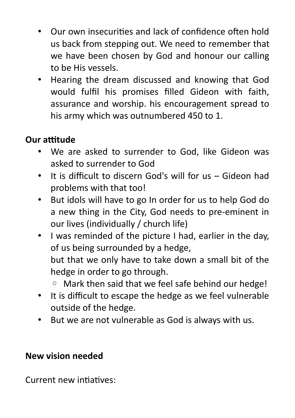- Our own insecurities and lack of confidence often hold us back from stepping out. We need to remember that we have been chosen by God and honour our calling to be His vessels.
- Hearing the dream discussed and knowing that God would fulfil his promises filled Gideon with faith, assurance and worship. his encouragement spread to his army which was outnumbered 450 to 1.

# **Our attitude**

- We are asked to surrender to God, like Gideon was asked to surrender to God
- It is difficult to discern God's will for us Gideon had problems with that too!
- But idols will have to go In order for us to help God do a new thing in the City, God needs to pre-eminent in our lives (individually / church life)
- I was reminded of the picture I had, earlier in the day, of us being surrounded by a hedge, but that we only have to take down a small bit of the hedge in order to go through.
	- Mark then said that we feel safe behind our hedge!
- It is difficult to escape the hedge as we feel vulnerable outside of the hedge.
- But we are not vulnerable as God is always with us.

#### **New vision needed**

Current new intiatives: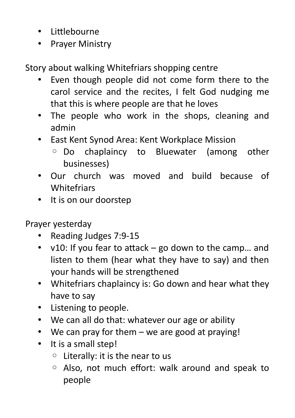- Littlebourne
- Prayer Ministry

Story about walking Whitefriars shopping centre

- Even though people did not come form there to the carol service and the recites, I felt God nudging me that this is where people are that he loves
- The people who work in the shops, cleaning and admin
- East Kent Synod Area: Kent Workplace Mission
	- Do chaplaincy to Bluewater (among other businesses)
- Our church was moved and build because of **Whitefriars**
- It is on our doorstep

Prayer yesterday

- Reading Judges 7:9-15
- v10: If you fear to attack go down to the camp… and listen to them (hear what they have to say) and then your hands will be strengthened
- Whitefriars chaplaincy is: Go down and hear what they have to say
- Listening to people.
- We can all do that: whatever our age or ability
- We can pray for them we are good at praying!
- It is a small step!
	- Literally: it is the near to us
	- Also, not much effort: walk around and speak to people